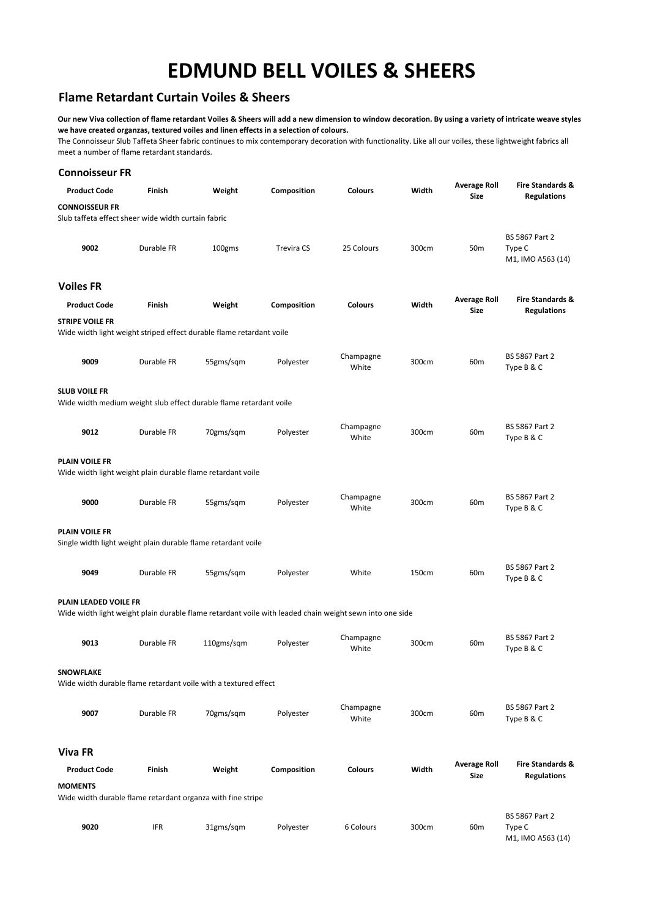## **EDMUND BELL VOILES & SHEERS**

## **Flame Retardant Curtain Voiles & Sheers**

**Our new Viva collection of flame retardant Voiles & Sheers will add a new dimension to window decoration. By using a variety of intricate weave styles we have created organzas, textured voiles and linen effects in a selection of colours.**

The Connoisseur Slub Taffeta Sheer fabric continues to mix contemporary decoration with functionality. Like all our voiles, these lightweight fabrics all meet a number of flame retardant standards.

| <b>Connoisseur FR</b>                                                        |            |                                                                                                         |             |                    |       |                                    |                                                      |
|------------------------------------------------------------------------------|------------|---------------------------------------------------------------------------------------------------------|-------------|--------------------|-------|------------------------------------|------------------------------------------------------|
| <b>Product Code</b>                                                          | Finish     | Weight                                                                                                  | Composition | <b>Colours</b>     | Width | <b>Average Roll</b><br>Size        | <b>Fire Standards &amp;</b><br><b>Regulations</b>    |
| <b>CONNOISSEUR FR</b><br>Slub taffeta effect sheer wide width curtain fabric |            |                                                                                                         |             |                    |       |                                    |                                                      |
| 9002                                                                         | Durable FR | 100gms                                                                                                  | Trevira CS  | 25 Colours         | 300cm | 50 <sub>m</sub>                    | <b>BS 5867 Part 2</b><br>Type C<br>M1, IMO A563 (14) |
| <b>Voiles FR</b>                                                             |            |                                                                                                         |             |                    |       |                                    |                                                      |
| <b>Product Code</b>                                                          | Finish     | Weight                                                                                                  | Composition | <b>Colours</b>     | Width | <b>Average Roll</b><br><b>Size</b> | <b>Fire Standards &amp;</b><br><b>Regulations</b>    |
| <b>STRIPE VOILE FR</b>                                                       |            | Wide width light weight striped effect durable flame retardant voile                                    |             |                    |       |                                    |                                                      |
| 9009                                                                         | Durable FR | 55gms/sqm                                                                                               | Polyester   | Champagne<br>White | 300cm | 60 <sub>m</sub>                    | BS 5867 Part 2<br>Type B & C                         |
| <b>SLUB VOILE FR</b>                                                         |            | Wide width medium weight slub effect durable flame retardant voile                                      |             |                    |       |                                    |                                                      |
| 9012                                                                         | Durable FR | 70gms/sqm                                                                                               | Polyester   | Champagne<br>White | 300cm | 60 <sub>m</sub>                    | BS 5867 Part 2<br>Type B & C                         |
| PLAIN VOILE FR                                                               |            | Wide width light weight plain durable flame retardant voile                                             |             |                    |       |                                    |                                                      |
| 9000                                                                         | Durable FR | 55gms/sqm                                                                                               | Polyester   | Champagne<br>White | 300cm | 60 <sub>m</sub>                    | BS 5867 Part 2<br>Type B & C                         |
| PLAIN VOILE FR                                                               |            | Single width light weight plain durable flame retardant voile                                           |             |                    |       |                                    |                                                      |
| 9049                                                                         | Durable FR | 55gms/sqm                                                                                               | Polyester   | White              | 150cm | 60 <sub>m</sub>                    | BS 5867 Part 2<br>Type B & C                         |
| PLAIN LEADED VOILE FR                                                        |            | Wide width light weight plain durable flame retardant voile with leaded chain weight sewn into one side |             |                    |       |                                    |                                                      |
| 9013                                                                         | Durable FR | 110gms/sqm                                                                                              | Polyester   | Champagne<br>White | 300cm | 60 <sub>m</sub>                    | BS 5867 Part 2<br>Type B & C                         |
| <b>SNOWFLAKE</b>                                                             |            | Wide width durable flame retardant voile with a textured effect                                         |             |                    |       |                                    |                                                      |
| 9007                                                                         | Durable FR | 70gms/sqm                                                                                               | Polyester   | Champagne<br>White | 300cm | 60 <sub>m</sub>                    | <b>BS 5867 Part 2</b><br>Type B & C                  |
| <b>Viva FR</b>                                                               |            |                                                                                                         |             |                    |       |                                    |                                                      |
| <b>Product Code</b>                                                          | Finish     | Weight                                                                                                  | Composition | <b>Colours</b>     | Width | <b>Average Roll</b><br>Size        | <b>Fire Standards &amp;</b><br><b>Regulations</b>    |
| <b>MOMENTS</b>                                                               |            | Wide width durable flame retardant organza with fine stripe                                             |             |                    |       |                                    |                                                      |
| 9020                                                                         | IFR        | 31gms/sqm                                                                                               | Polyester   | 6 Colours          | 300cm | 60 <sub>m</sub>                    | BS 5867 Part 2<br>Type C<br>M1, IMO A563 (14)        |